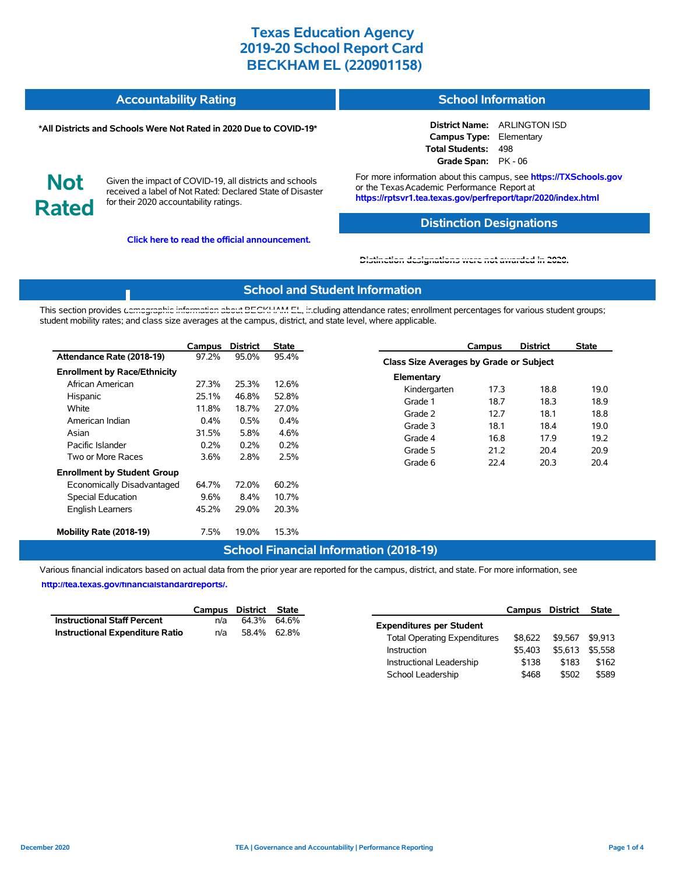| <b>Accountability Rating</b> | <b>School Information</b> |
|------------------------------|---------------------------|
|                              |                           |

#### **\*All Districts and Schools Were Not Rated in 2020 Due to COVID-19\***

**District Name:** ARLINGTON ISD **Campus Type:** Elementary **Total Students:** 498 **Grade Span:** PK - 06

**Not Rated**

Given the impact of COVID-19, all districts and schools received a label of Not Rated: Declared State of Disaster for their 2020 accountability ratings.

**Click here to read the official announcement.**

For more information about this campus, see **https://TXSchools.gov** or the Texas Academic Performance Report at **https://rptsvr1.tea.texas.gov/perfreport/tapr/2020/index.html**

### **Distinction Designations**

Instructional Leadership  $$138$  \$183 \$162 School Leadership  $$468$  \$502 \$589

#### **[Distinction designations were not awarded in 2020.](https://rptsvr1.tea.texas.gov/perfreport/tapr/2020/index.html)**

#### **School and Student Information**

This section provides [demographic information about BECKHAM EL, in](https://tea.texas.gov/about-tea/news-and-multimedia/correspondence/taa-letters/every-student-succeeds-act-essa-waiver-approval-2020-state-academic-accountability)cluding attendance rates; enrollment percentages for various student groups; student mobility rates; and class size averages at the campus, district, and state level, where applicable.

|                                                         | Campus          | <b>District</b> | <b>State</b>   |                                         | Campus       | <b>District</b> | <b>State</b> |
|---------------------------------------------------------|-----------------|-----------------|----------------|-----------------------------------------|--------------|-----------------|--------------|
| Attendance Rate (2018-19)                               | 97.2%           | 95.0%           | 95.4%          | Class Size Averages by Grade or Subject |              |                 |              |
| <b>Enrollment by Race/Ethnicity</b><br>African American | 27.3%           | 25.3%           | 12.6%          | Elementary<br>Kindergarten              | 17.3         | 18.8            | 19.0         |
| Hispanic<br>White                                       | 25.1%<br>11.8%  | 46.8%<br>18.7%  | 52.8%<br>27.0% | Grade 1                                 | 18.7         | 18.3            | 18.9         |
| American Indian<br>Asian                                | 0.4%<br>31.5%   | 0.5%<br>5.8%    | 0.4%<br>4.6%   | Grade 2<br>Grade 3                      | 12.7<br>18.1 | 18.1<br>18.4    | 18.8<br>19.0 |
| Pacific Islander<br>Two or More Races                   | 0.2%<br>$3.6\%$ | 0.2%<br>2.8%    | 0.2%<br>2.5%   | Grade 4<br>Grade 5                      | 16.8<br>21.2 | 17.9<br>20.4    | 19.2<br>20.9 |
| <b>Enrollment by Student Group</b>                      |                 |                 |                | Grade 6                                 | 22.4         | 20.3            | 20.4         |
| Economically Disadvantaged<br>Special Education         | 64.7%<br>9.6%   | 72.0%<br>8.4%   | 60.2%<br>10.7% |                                         |              |                 |              |
| <b>English Learners</b>                                 | 45.2%           | 29.0%           | 20.3%          |                                         |              |                 |              |
| Mobility Rate (2018-19)                                 | 7.5%            | 19.0%           | 15.3%          |                                         |              |                 |              |

## **School Financial Information (2018-19)**

Various financial indicators based on actual data from the prior year are reported for the campus, district, and state. For more information, see

**[http://tea.texas.gov/financialstandardreports/.](http://tea.texas.gov/financialstandardreports/)**

|                                        |     | Campus District State |                                     | Campus District         | State   |
|----------------------------------------|-----|-----------------------|-------------------------------------|-------------------------|---------|
| <b>Instructional Staff Percent</b>     | n/a | 64.3% 64.6%           | <b>Expenditures per Student</b>     |                         |         |
| <b>Instructional Expenditure Ratio</b> | n/a | 58.4% 62.8%           | <b>Total Operating Expenditures</b> | \$8,622 \$9,567 \$9,913 |         |
|                                        |     |                       | \$5.403<br>Instruction              | \$5,613                 | \$5,558 |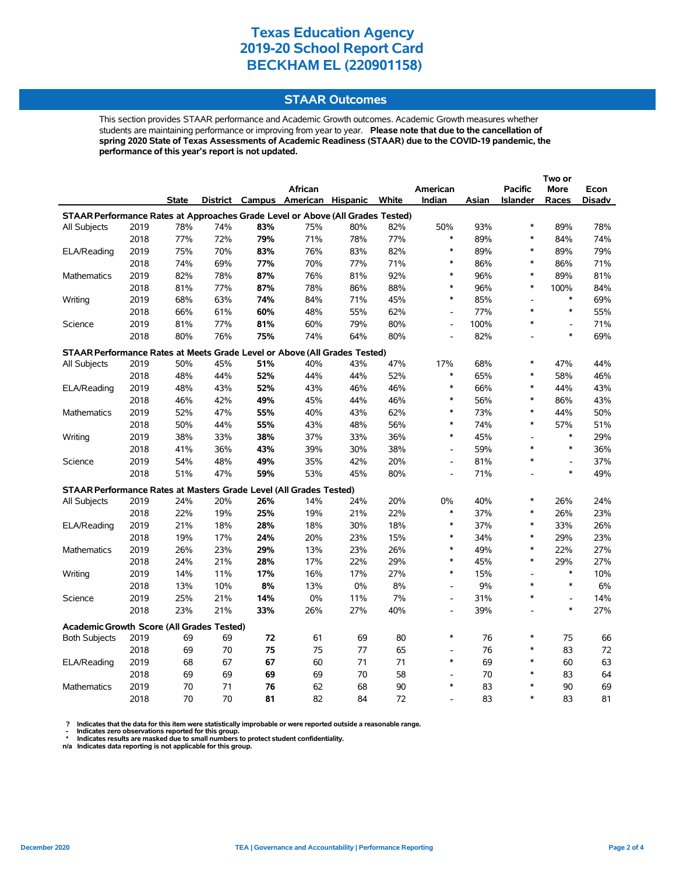## **STAAR Outcomes**

This section provides STAAR performance and Academic Growth outcomes. Academic Growth measures whether students are maintaining performance or improving from year to year. **Please note that due to the cancellation of spring 2020 State of Texas Assessments of Academic Readiness (STAAR) due to the COVID-19 pandemic, the performance of this year's report is not updated.**

|                                                                                |      |       |     |     | African                           |     |        | American                     |       | <b>Pacific</b>  | More                     | Econ   |
|--------------------------------------------------------------------------------|------|-------|-----|-----|-----------------------------------|-----|--------|------------------------------|-------|-----------------|--------------------------|--------|
|                                                                                |      | State |     |     | District Campus American Hispanic |     | White  | Indian                       | Asian | <b>Islander</b> | Races                    | Disadv |
| STAAR Performance Rates at Approaches Grade Level or Above (All Grades Tested) |      |       |     |     |                                   |     |        |                              |       |                 |                          |        |
| All Subjects                                                                   | 2019 | 78%   | 74% | 83% | 75%                               | 80% | 82%    | 50%                          | 93%   | $\ast$          | 89%                      | 78%    |
|                                                                                | 2018 | 77%   | 72% | 79% | 71%                               | 78% | 77%    | *                            | 89%   | *               | 84%                      | 74%    |
| ELA/Reading                                                                    | 2019 | 75%   | 70% | 83% | 76%                               | 83% | 82%    | $\ast$                       | 89%   | $\ast$          | 89%                      | 79%    |
|                                                                                | 2018 | 74%   | 69% | 77% | 70%                               | 77% | 71%    | $\ast$                       | 86%   | $\ast$          | 86%                      | 71%    |
| Mathematics                                                                    | 2019 | 82%   | 78% | 87% | 76%                               | 81% | 92%    | $\ast$                       | 96%   | $\ast$          | 89%                      | 81%    |
|                                                                                | 2018 | 81%   | 77% | 87% | 78%                               | 86% | 88%    | $\ast$                       | 96%   | $\ast$          | 100%                     | 84%    |
| Writing                                                                        | 2019 | 68%   | 63% | 74% | 84%                               | 71% | 45%    | $\ast$                       | 85%   | L,              | $\ast$                   | 69%    |
|                                                                                | 2018 | 66%   | 61% | 60% | 48%                               | 55% | 62%    | $\overline{a}$               | 77%   | $\ast$          | $\ast$                   | 55%    |
| Science                                                                        | 2019 | 81%   | 77% | 81% | 60%                               | 79% | 80%    | $\overline{a}$               | 100%  | *               | $\overline{\phantom{a}}$ | 71%    |
|                                                                                | 2018 | 80%   | 76% | 75% | 74%                               | 64% | 80%    | $\overline{a}$               | 82%   |                 | $\ast$                   | 69%    |
| STAAR Performance Rates at Meets Grade Level or Above (All Grades Tested)      |      |       |     |     |                                   |     |        |                              |       |                 |                          |        |
| All Subjects                                                                   | 2019 | 50%   | 45% | 51% | 40%                               | 43% | 47%    | 17%                          | 68%   | $\ast$          | 47%                      | 44%    |
|                                                                                | 2018 | 48%   | 44% | 52% | 44%                               | 44% | 52%    | $\ast$                       | 65%   | $\ast$          | 58%                      | 46%    |
| 2019<br>ELA/Reading                                                            | 48%  | 43%   | 52% | 43% | 46%                               | 46% | $\ast$ | 66%                          | *     | 44%             | 43%                      |        |
|                                                                                | 2018 | 46%   | 42% | 49% | 45%                               | 44% | 46%    | *                            | 56%   | *               | 86%                      | 43%    |
| Mathematics                                                                    | 2019 | 52%   | 47% | 55% | 40%                               | 43% | 62%    | $\ast$                       | 73%   | $\ast$          | 44%                      | 50%    |
|                                                                                | 2018 | 50%   | 44% | 55% | 43%                               | 48% | 56%    | $\ast$                       | 74%   | *               | 57%                      | 51%    |
| Writing                                                                        | 2019 | 38%   | 33% | 38% | 37%                               | 33% | 36%    | *                            | 45%   | L,              | $\ast$                   | 29%    |
|                                                                                | 2018 | 41%   | 36% | 43% | 39%                               | 30% | 38%    | $\overline{a}$               | 59%   | $\ast$          | $\ast$                   | 36%    |
| Science                                                                        | 2019 | 54%   | 48% | 49% | 35%                               | 42% | 20%    | $\overline{\phantom{a}}$     | 81%   | $\ast$          | $\overline{\phantom{a}}$ | 37%    |
|                                                                                | 2018 | 51%   | 47% | 59% | 53%                               | 45% | 80%    | $\qquad \qquad \blacksquare$ | 71%   | $\overline{a}$  | $\ast$                   | 49%    |
| STAAR Performance Rates at Masters Grade Level (All Grades Tested)             |      |       |     |     |                                   |     |        |                              |       |                 |                          |        |
| All Subjects                                                                   | 2019 | 24%   | 20% | 26% | 14%                               | 24% | 20%    | 0%                           | 40%   | *               | 26%                      | 24%    |
|                                                                                | 2018 | 22%   | 19% | 25% | 19%                               | 21% | 22%    | $\ast$                       | 37%   | $\ast$          | 26%                      | 23%    |
| ELA/Reading                                                                    | 2019 | 21%   | 18% | 28% | 18%                               | 30% | 18%    | $\ast$                       | 37%   | $\ast$          | 33%                      | 26%    |
|                                                                                | 2018 | 19%   | 17% | 24% | 20%                               | 23% | 15%    | $\ast$                       | 34%   | $\ast$          | 29%                      | 23%    |
| Mathematics                                                                    | 2019 | 26%   | 23% | 29% | 13%                               | 23% | 26%    | $\ast$                       | 49%   | $\ast$          | 22%                      | 27%    |
|                                                                                | 2018 | 24%   | 21% | 28% | 17%                               | 22% | 29%    | $\ast$                       | 45%   | $\ast$          | 29%                      | 27%    |
| Writing                                                                        | 2019 | 14%   | 11% | 17% | 16%                               | 17% | 27%    | $\ast$                       | 15%   | $\overline{a}$  | $\ast$                   | 10%    |
|                                                                                | 2018 | 13%   | 10% | 8%  | 13%                               | 0%  | 8%     | $\overline{\phantom{a}}$     | 9%    | $\ast$          | $\ast$                   | 6%     |
| Science                                                                        | 2019 | 25%   | 21% | 14% | 0%                                | 11% | 7%     | $\overline{a}$               | 31%   | $\ast$          | $\blacksquare$           | 14%    |
|                                                                                | 2018 | 23%   | 21% | 33% | 26%                               | 27% | 40%    | $\overline{a}$               | 39%   | $\overline{a}$  | $\ast$                   | 27%    |
|                                                                                |      |       |     |     |                                   |     |        |                              |       |                 |                          |        |
| <b>Academic Growth Score (All Grades Tested)</b>                               |      |       |     |     |                                   |     |        |                              |       |                 |                          |        |
| <b>Both Subjects</b>                                                           | 2019 | 69    | 69  | 72  | 61                                | 69  | 80     | *                            | 76    | $\ast$          | 75                       | 66     |
|                                                                                | 2018 | 69    | 70  | 75  | 75                                | 77  | 65     | $\overline{a}$               | 76    | *               | 83                       | 72     |
| ELA/Reading                                                                    | 2019 | 68    | 67  | 67  | 60                                | 71  | 71     | $\ast$                       | 69    | $\ast$          | 60                       | 63     |
|                                                                                | 2018 | 69    | 69  | 69  | 69                                | 70  | 58     |                              | 70    | $\ast$          | 83                       | 64     |
| <b>Mathematics</b>                                                             | 2019 | 70    | 71  | 76  | 62                                | 68  | 90     | $\ast$                       | 83    | $\ast$          | 90                       | 69     |
|                                                                                | 2018 | 70    | 70  | 81  | 82                                | 84  | 72     |                              | 83    | $\ast$          | 83                       | 81     |

? Indicates that the data for this item were statistically improbable or were reported outside a reasonable range.<br>- Indicates zero observations reported for this group.<br>\* Indicates results are masked due to small numbers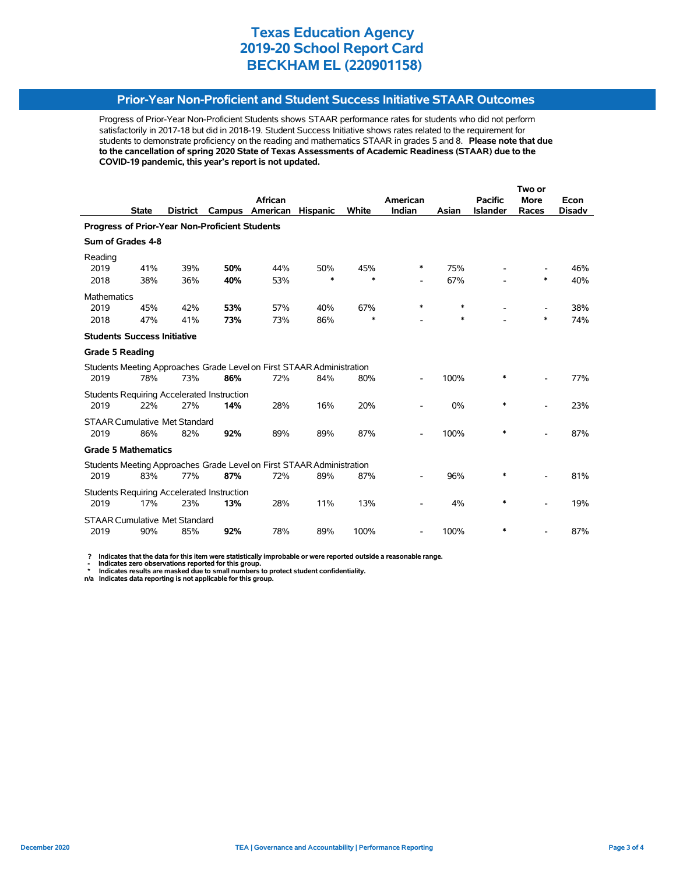## **Prior-Year Non-Proficient and Student Success Initiative STAAR Outcomes**

Progress of Prior-Year Non-Proficient Students shows STAAR performance rates for students who did not perform satisfactorily in 2017-18 but did in 2018-19. Student Success Initiative shows rates related to the requirement for students to demonstrate proficiency on the reading and mathematics STAAR in grades 5 and 8. **Please note that due to the cancellation of spring 2020 State of Texas Assessments of Academic Readiness (STAAR) due to the COVID-19 pandemic, this year's report is not updated.**

|                                                |              |                                      |                                                   | African                                                               |                 |        | American                 |       | <b>Pacific</b>  | <b>More</b> | Econ          |  |
|------------------------------------------------|--------------|--------------------------------------|---------------------------------------------------|-----------------------------------------------------------------------|-----------------|--------|--------------------------|-------|-----------------|-------------|---------------|--|
|                                                | <b>State</b> | <b>District</b>                      | Campus                                            | American                                                              | <b>Hispanic</b> | White  | Indian                   | Asian | <b>Islander</b> | Races       | <b>Disadv</b> |  |
| Progress of Prior-Year Non-Proficient Students |              |                                      |                                                   |                                                                       |                 |        |                          |       |                 |             |               |  |
| Sum of Grades 4-8                              |              |                                      |                                                   |                                                                       |                 |        |                          |       |                 |             |               |  |
| Reading                                        |              |                                      |                                                   |                                                                       |                 |        |                          |       |                 |             |               |  |
| 2019                                           | 41%          | 39%                                  | 50%                                               | 44%                                                                   | 50%             | 45%    | *                        | 75%   |                 |             | 46%           |  |
| 2018                                           | 38%          | 36%                                  | 40%                                               | 53%                                                                   | *               | $\ast$ | $\overline{\phantom{a}}$ | 67%   |                 | $\ast$      | 40%           |  |
| <b>Mathematics</b>                             |              |                                      |                                                   |                                                                       |                 |        |                          |       |                 |             |               |  |
| 2019                                           | 45%          | 42%                                  | 53%                                               | 57%                                                                   | 40%             | 67%    | *                        | *     |                 |             | 38%           |  |
| 2018                                           | 47%          | 41%                                  | 73%                                               | 73%                                                                   | 86%             | $\ast$ |                          | *     |                 | $\ast$      | 74%           |  |
| <b>Students Success Initiative</b>             |              |                                      |                                                   |                                                                       |                 |        |                          |       |                 |             |               |  |
| <b>Grade 5 Reading</b>                         |              |                                      |                                                   |                                                                       |                 |        |                          |       |                 |             |               |  |
|                                                |              |                                      |                                                   | Students Meeting Approaches Grade Level on First STAAR Administration |                 |        |                          |       |                 |             |               |  |
| 2019                                           | 78%          | 73%                                  | 86%                                               | 72%                                                                   | 84%             | 80%    |                          | 100%  | *               |             | 77%           |  |
|                                                |              |                                      | Students Requiring Accelerated Instruction        |                                                                       |                 |        |                          |       |                 |             |               |  |
| 2019                                           | 22%          | 27%                                  | 14%                                               | 28%                                                                   | 16%             | 20%    |                          | 0%    | $\ast$          |             | 23%           |  |
|                                                |              | <b>STAAR Cumulative Met Standard</b> |                                                   |                                                                       |                 |        |                          |       |                 |             |               |  |
| 2019                                           | 86%          | 82%                                  | 92%                                               | 89%                                                                   | 89%             | 87%    |                          | 100%  | $\ast$          |             | 87%           |  |
| <b>Grade 5 Mathematics</b>                     |              |                                      |                                                   |                                                                       |                 |        |                          |       |                 |             |               |  |
|                                                |              |                                      |                                                   | Students Meeting Approaches Grade Level on First STAAR Administration |                 |        |                          |       |                 |             |               |  |
| 2019                                           | 83%          | 77%                                  | 87%                                               | 72%                                                                   | 89%             | 87%    |                          | 96%   | *               |             | 81%           |  |
|                                                |              |                                      | <b>Students Requiring Accelerated Instruction</b> |                                                                       |                 |        |                          |       |                 |             |               |  |
| 2019                                           | 17%          | 23%                                  | 13%                                               | 28%                                                                   | 11%             | 13%    |                          | 4%    | *               |             | 19%           |  |
|                                                |              | <b>STAAR Cumulative Met Standard</b> |                                                   |                                                                       |                 |        |                          |       |                 |             |               |  |
| 2019                                           | 90%          | 85%                                  | 92%                                               | 78%                                                                   | 89%             | 100%   |                          | 100%  | *               |             | 87%           |  |

 **? Indicates that the data for this item were statistically improbable or were reported outside a reasonable range.**

 **- Indicates zero observations reported for this group. \* Indicates results are masked due to small numbers to protect student confidentiality.**

**n/a Indicates data reporting is not applicable for this group.**